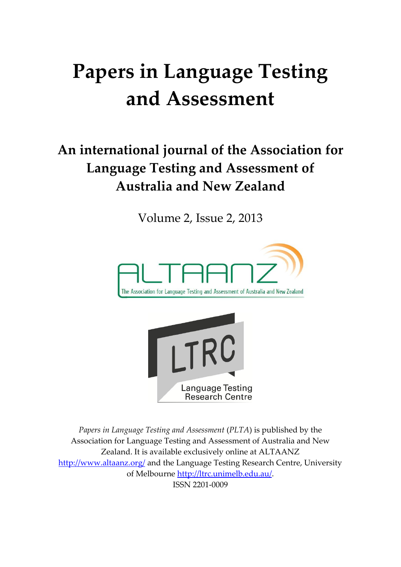# **Papers in Language Testing and Assessment**

## **An international journal of the Association for Language Testing and Assessment of Australia and New Zealand**

Volume 2, Issue 2, 2013





*Papers in Language Testing and Assessment* (*PLTA*) is published by the Association for Language Testing and Assessment of Australia and New Zealand. It is available exclusively online at ALTAANZ <http://www.altaanz.org/> and the Language Testing Research Centre, University of Melbourne [http://ltrc.unimelb.edu.au/.](http://ltrc.unimelb.edu.au/) ISSN 2201-0009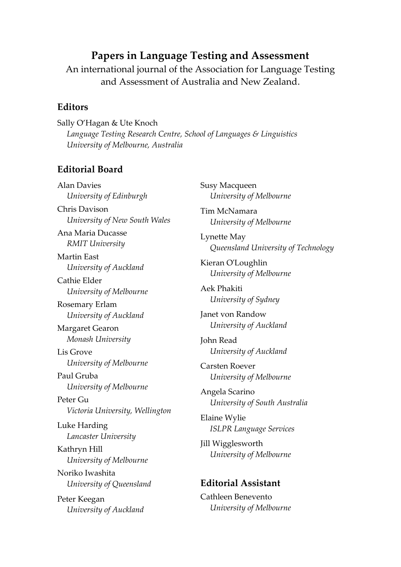#### **Papers in Language Testing and Assessment**

An international journal of the Association for Language Testing and Assessment of Australia and New Zealand.

#### **Editors**

Sally O'Hagan & Ute Knoch *Language Testing Research Centre, School of Languages & Linguistics University of Melbourne, Australia*

#### **Editorial Board**

Alan Davies *University of Edinburgh*  Chris Davison *University of New South Wales* Ana Maria Ducasse *RMIT University* Martin East *University of Auckland* Cathie Elder *University of Melbourne* Rosemary Erlam *University of Auckland* Margaret Gearon *Monash University* Lis Grove *University of Melbourne* Paul Gruba *University of Melbourne* Peter Gu *Victoria University, Wellington* Luke Harding *Lancaster University* Kathryn Hill *University of Melbourne* Noriko Iwashita *University of Queensland* Peter Keegan *University of Auckland*

Susy Macqueen *University of Melbourne* Tim McNamara *University of Melbourne* Lynette May *Queensland University of Technology* Kieran O'Loughlin *University of Melbourne* Aek Phakiti *University of Sydney* Janet von Randow *University of Auckland* John Read *University of Auckland* Carsten Roever *University of Melbourne* Angela Scarino *University of South Australia* Elaine Wylie *ISLPR Language Services* Jill Wigglesworth *University of Melbourne* **Editorial Assistant** Cathleen Benevento *University of Melbourne*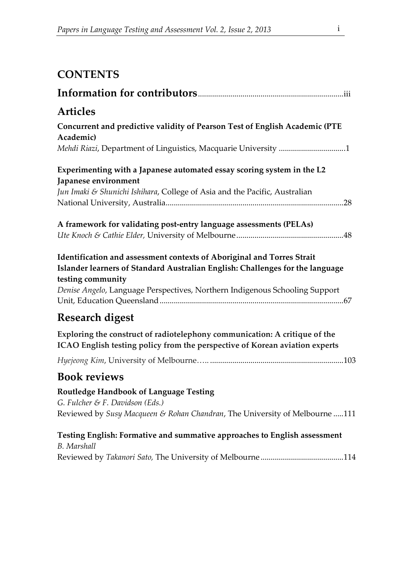## **CONTENTS**

| Articles                                                                                                                                                                                                                                                    |
|-------------------------------------------------------------------------------------------------------------------------------------------------------------------------------------------------------------------------------------------------------------|
| Concurrent and predictive validity of Pearson Test of English Academic (PTE<br>Academic)                                                                                                                                                                    |
| Mehdi Riazi, Department of Linguistics, Macquarie University 1                                                                                                                                                                                              |
| Experimenting with a Japanese automated essay scoring system in the L2<br>Japanese environment                                                                                                                                                              |
| Jun Imaki & Shunichi Ishihara, College of Asia and the Pacific, Australian                                                                                                                                                                                  |
|                                                                                                                                                                                                                                                             |
| A framework for validating post-entry language assessments (PELAs)                                                                                                                                                                                          |
|                                                                                                                                                                                                                                                             |
| Identification and assessment contexts of Aboriginal and Torres Strait<br>Islander learners of Standard Australian English: Challenges for the language<br>testing community<br>Denise Angelo, Language Perspectives, Northern Indigenous Schooling Support |
| <b>Research digest</b>                                                                                                                                                                                                                                      |
| Exploring the construct of radiotelephony communication: A critique of the<br>ICAO English testing policy from the perspective of Korean aviation experts                                                                                                   |
|                                                                                                                                                                                                                                                             |
| <b>Book reviews</b>                                                                                                                                                                                                                                         |
| <b>Routledge Handbook of Language Testing</b><br>G. Fulcher & F. Davidson (Eds.)                                                                                                                                                                            |
| Reviewed by Susy Macqueen & Rohan Chandran, The University of Melbourne 111                                                                                                                                                                                 |
| Testing English: Formative and summative approaches to English assessment<br><b>B.</b> Marshall                                                                                                                                                             |
|                                                                                                                                                                                                                                                             |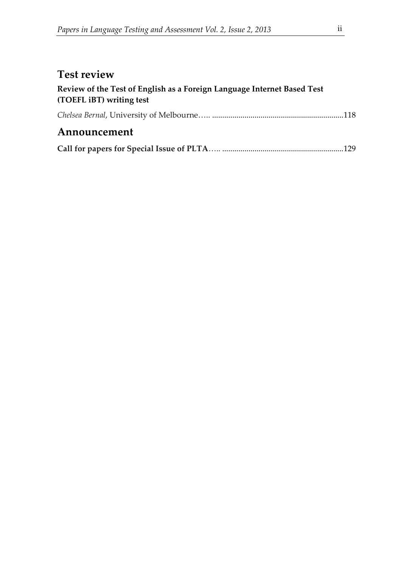### **Test review**

| Review of the Test of English as a Foreign Language Internet Based Test |  |
|-------------------------------------------------------------------------|--|
| (TOEFL iBT) writing test                                                |  |
|                                                                         |  |
| Announcement                                                            |  |
|                                                                         |  |